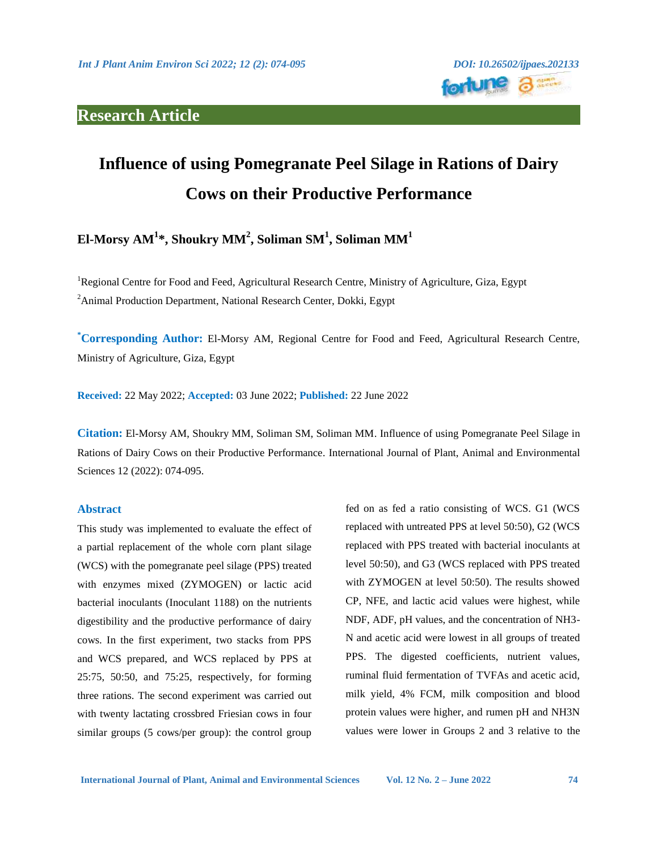# **Research Article**



# **Influence of using Pomegranate Peel Silage in Rations of Dairy Cows on their Productive Performance**

**El-Morsy AM<sup>1</sup> \*, Shoukry MM<sup>2</sup> , Soliman SM<sup>1</sup> , Soliman MM<sup>1</sup>** 

<sup>1</sup>Regional Centre for Food and Feed, Agricultural Research Centre, Ministry of Agriculture, Giza, Egypt <sup>2</sup>Animal Production Department, National Research Center, Dokki, Egypt

**\*Corresponding Author:** El-Morsy AM, Regional Centre for Food and Feed, Agricultural Research Centre, Ministry of Agriculture, Giza, Egypt

**Received:** 22 May 2022; **Accepted:** 03 June 2022; **Published:** 22 June 2022

**Citation:** El-Morsy AM, Shoukry MM, Soliman SM, Soliman MM. Influence of using Pomegranate Peel Silage in Rations of Dairy Cows on their Productive Performance. International Journal of Plant, Animal and Environmental Sciences 12 (2022): 074-095.

#### **Abstract**

This study was implemented to evaluate the effect of a partial replacement of the whole corn plant silage (WCS) with the pomegranate peel silage (PPS) treated with enzymes mixed (ZYMOGEN) or lactic acid bacterial inoculants (Inoculant 1188) on the nutrients digestibility and the productive performance of dairy cows. In the first experiment, two stacks from PPS and WCS prepared, and WCS replaced by PPS at 25:75, 50:50, and 75:25, respectively, for forming three rations. The second experiment was carried out with twenty lactating crossbred Friesian cows in four similar groups (5 cows/per group): the control group

fed on as fed a ratio consisting of WCS. G1 (WCS replaced with untreated PPS at level 50:50), G2 (WCS replaced with PPS treated with bacterial inoculants at level 50:50), and G3 (WCS replaced with PPS treated with ZYMOGEN at level 50:50). The results showed CP, NFE, and lactic acid values were highest, while NDF, ADF, pH values, and the concentration of NH3- N and acetic acid were lowest in all groups of treated PPS. The digested coefficients, nutrient values, ruminal fluid fermentation of TVFAs and acetic acid, milk yield, 4% FCM, milk composition and blood protein values were higher, and rumen pH and NH3N values were lower in Groups 2 and 3 relative to the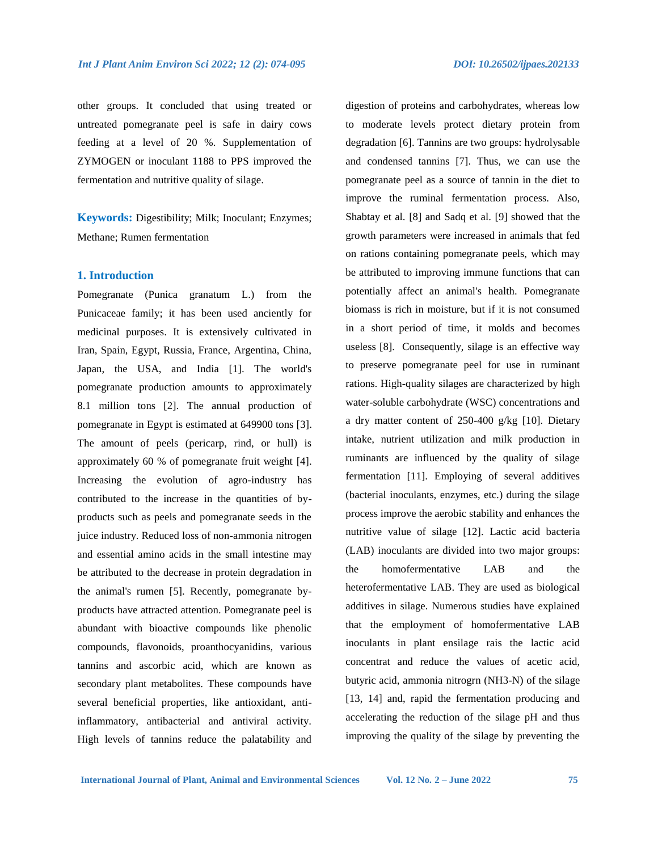other groups. It concluded that using treated or untreated pomegranate peel is safe in dairy cows feeding at a level of 20 %. Supplementation of ZYMOGEN or inoculant 1188 to PPS improved the

fermentation and nutritive quality of silage.

**Keywords:** Digestibility; Milk; Inoculant; Enzymes; Methane; Rumen fermentation

#### **1. Introduction**

Pomegranate (Punica granatum L.) from the Punicaceae family; it has been used anciently for medicinal purposes. It is extensively cultivated in Iran, Spain, Egypt, Russia, France, Argentina, China, Japan, the USA, and India [1]. The world's pomegranate production amounts to approximately 8.1 million tons [2]. The annual production of pomegranate in Egypt is estimated at 649900 tons [3]. The amount of peels (pericarp, rind, or hull) is approximately 60 % of pomegranate fruit weight [4]. Increasing the evolution of agro-industry has contributed to the increase in the quantities of byproducts such as peels and pomegranate seeds in the juice industry. Reduced loss of non-ammonia nitrogen and essential amino acids in the small intestine may be attributed to the decrease in protein degradation in the animal's rumen [5]. Recently, pomegranate byproducts have attracted attention. Pomegranate peel is abundant with bioactive compounds like phenolic compounds, flavonoids, proanthocyanidins, various tannins and ascorbic acid, which are known as secondary plant metabolites. These compounds have several beneficial properties, like antioxidant, antiinflammatory, antibacterial and antiviral activity. High levels of tannins reduce the palatability and

digestion of proteins and carbohydrates, whereas low to moderate levels protect dietary protein from degradation [6]. Tannins are two groups: hydrolysable and condensed tannins [7]. Thus, we can use the pomegranate peel as a source of tannin in the diet to improve the ruminal fermentation process. Also, Shabtay et al. [8] and Sadq et al. [9] showed that the growth parameters were increased in animals that fed on rations containing pomegranate peels, which may be attributed to improving immune functions that can potentially affect an animal's health. Pomegranate biomass is rich in moisture, but if it is not consumed in a short period of time, it molds and becomes useless [8]. Consequently, silage is an effective way to preserve pomegranate peel for use in ruminant rations. High-quality silages are characterized by high water-soluble carbohydrate (WSC) concentrations and a dry matter content of 250-400 g/kg [10]. Dietary intake, nutrient utilization and milk production in ruminants are influenced by the quality of silage fermentation [11]. Employing of several additives (bacterial inoculants, enzymes, etc.) during the silage process improve the aerobic stability and enhances the nutritive value of silage [12]. Lactic acid bacteria (LAB) inoculants are divided into two major groups: the homofermentative LAB and the heterofermentative LAB. They are used as biological additives in silage. Numerous studies have explained that the employment of homofermentative LAB inoculants in plant ensilage rais the lactic acid concentrat and reduce the values of acetic acid, butyric acid, ammonia nitrogrn (NH3-N) of the silage [13, 14] and, rapid the fermentation producing and accelerating the reduction of the silage pH and thus improving the quality of the silage by preventing the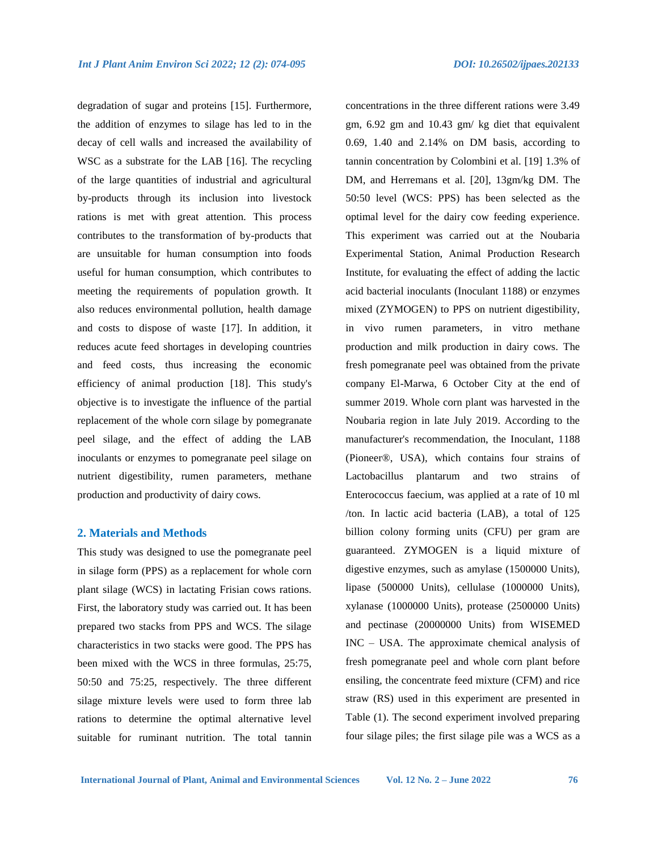degradation of sugar and proteins [15]. Furthermore, the addition of enzymes to silage has led to in the decay of cell walls and increased the availability of WSC as a substrate for the LAB [16]. The recycling of the large quantities of industrial and agricultural by-products through its inclusion into livestock rations is met with great attention. This process contributes to the transformation of by-products that are unsuitable for human consumption into foods useful for human consumption, which contributes to meeting the requirements of population growth. It also reduces environmental pollution, health damage and costs to dispose of waste [17]. In addition, it reduces acute feed shortages in developing countries and feed costs, thus increasing the economic efficiency of animal production [18]. This study's objective is to investigate the influence of the partial replacement of the whole corn silage by pomegranate peel silage, and the effect of adding the LAB inoculants or enzymes to pomegranate peel silage on nutrient digestibility, rumen parameters, methane production and productivity of dairy cows.

#### **2. Materials and Methods**

This study was designed to use the pomegranate peel in silage form (PPS) as a replacement for whole corn plant silage (WCS) in lactating Frisian cows rations. First, the laboratory study was carried out. It has been prepared two stacks from PPS and WCS. The silage characteristics in two stacks were good. The PPS has been mixed with the WCS in three formulas, 25:75, 50:50 and 75:25, respectively. The three different silage mixture levels were used to form three lab rations to determine the optimal alternative level suitable for ruminant nutrition. The total tannin

concentrations in the three different rations were 3.49 gm, 6.92 gm and 10.43 gm/ kg diet that equivalent 0.69, 1.40 and 2.14% on DM basis, according to tannin concentration by Colombini et al. [19] 1.3% of DM, and Herremans et al. [20], 13gm/kg DM. The 50:50 level (WCS: PPS) has been selected as the optimal level for the dairy cow feeding experience. This experiment was carried out at the Noubaria Experimental Station, Animal Production Research Institute, for evaluating the effect of adding the lactic acid bacterial inoculants (Inoculant 1188) or enzymes mixed (ZYMOGEN) to PPS on nutrient digestibility, in vivo rumen parameters, in vitro methane production and milk production in dairy cows. The fresh pomegranate peel was obtained from the private company El-Marwa, 6 October City at the end of summer 2019. Whole corn plant was harvested in the Noubaria region in late July 2019. According to the manufacturer's recommendation, the Inoculant, 1188 (Pioneer®, USA), which contains four strains of Lactobacillus plantarum and two strains of Enterococcus faecium, was applied at a rate of 10 ml /ton. In lactic acid bacteria (LAB), a total of 125 billion colony forming units (CFU) per gram are guaranteed. ZYMOGEN is a liquid mixture of digestive enzymes, such as amylase (1500000 Units), lipase (500000 Units), cellulase (1000000 Units), xylanase (1000000 Units), protease (2500000 Units) and pectinase (20000000 Units) from WISEMED INC – USA. The approximate chemical analysis of fresh pomegranate peel and whole corn plant before ensiling, the concentrate feed mixture (CFM) and rice straw (RS) used in this experiment are presented in Table (1). The second experiment involved preparing four silage piles; the first silage pile was a WCS as a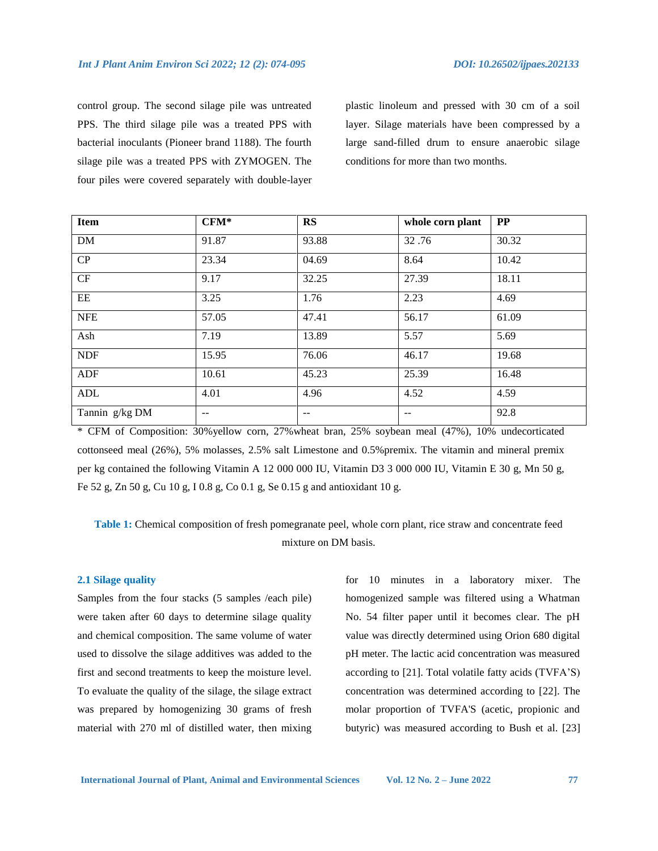control group. The second silage pile was untreated PPS. The third silage pile was a treated PPS with bacterial inoculants (Pioneer brand 1188). The fourth silage pile was a treated PPS with ZYMOGEN. The four piles were covered separately with double-layer plastic linoleum and pressed with 30 cm of a soil layer. Silage materials have been compressed by a large sand-filled drum to ensure anaerobic silage conditions for more than two months.

| Item             | $CFM*$ | <b>RS</b> | whole corn plant | PP    |
|------------------|--------|-----------|------------------|-------|
| DM               | 91.87  | 93.88     | 32.76            | 30.32 |
| CP               | 23.34  | 04.69     | 8.64             | 10.42 |
| CF               | 9.17   | 32.25     | 27.39            | 18.11 |
| EE               | 3.25   | 1.76      | 2.23             | 4.69  |
| <b>NFE</b>       | 57.05  | 47.41     | 56.17            | 61.09 |
| Ash              | 7.19   | 13.89     | 5.57             | 5.69  |
| <b>NDF</b>       | 15.95  | 76.06     | 46.17            | 19.68 |
| <b>ADF</b>       | 10.61  | 45.23     | 25.39            | 16.48 |
| $\mbox{\bf ADL}$ | 4.01   | 4.96      | 4.52             | 4.59  |
| Tannin g/kg DM   | --     | --        | --               | 92.8  |

\* CFM of Composition: 30%yellow corn, 27%wheat bran, 25% soybean meal (47%), 10% undecorticated cottonseed meal (26%), 5% molasses, 2.5% salt Limestone and 0.5%premix. The vitamin and mineral premix per kg contained the following Vitamin A 12 000 000 IU, Vitamin D3 3 000 000 IU, Vitamin E 30 g, Mn 50 g, Fe 52 g, Zn 50 g, Cu 10 g, I 0.8 g, Co 0.1 g, Se 0.15 g and antioxidant 10 g.

**Table 1:** Chemical composition of fresh pomegranate peel, whole corn plant, rice straw and concentrate feed mixture on DM basis.

# **2.1 Silage quality**

Samples from the four stacks (5 samples /each pile) were taken after 60 days to determine silage quality and chemical composition. The same volume of water used to dissolve the silage additives was added to the first and second treatments to keep the moisture level. To evaluate the quality of the silage, the silage extract was prepared by homogenizing 30 grams of fresh material with 270 ml of distilled water, then mixing

for 10 minutes in a laboratory mixer. The homogenized sample was filtered using a Whatman No. 54 filter paper until it becomes clear. The pH value was directly determined using Orion 680 digital pH meter. The lactic acid concentration was measured according to [21]. Total volatile fatty acids (TVFA'S) concentration was determined according to [22]. The molar proportion of TVFA'S (acetic, propionic and butyric) was measured according to Bush et al. [23]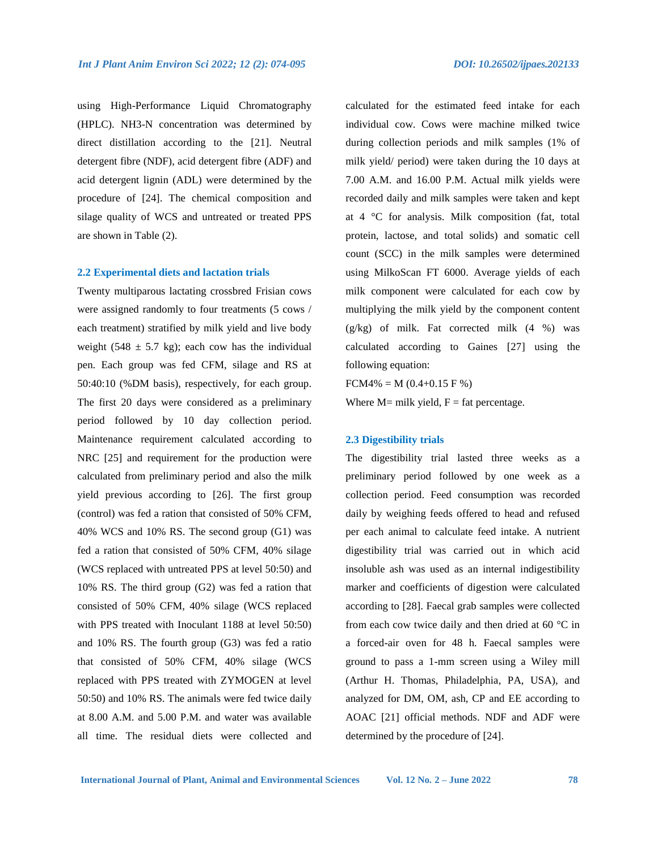using High-Performance Liquid Chromatography (HPLC). NH3-N concentration was determined by direct distillation according to the [21]. Neutral detergent fibre (NDF), acid detergent fibre (ADF) and acid detergent lignin (ADL) were determined by the procedure of [24]. The chemical composition and silage quality of WCS and untreated or treated PPS are shown in Table (2).

#### **2.2 Experimental diets and lactation trials**

Twenty multiparous lactating crossbred Frisian cows were assigned randomly to four treatments (5 cows / each treatment) stratified by milk yield and live body weight (548  $\pm$  5.7 kg); each cow has the individual pen. Each group was fed CFM, silage and RS at 50:40:10 (%DM basis), respectively, for each group. The first 20 days were considered as a preliminary period followed by 10 day collection period. Maintenance requirement calculated according to NRC [25] and requirement for the production were calculated from preliminary period and also the milk yield previous according to [26]. The first group (control) was fed a ration that consisted of 50% CFM, 40% WCS and 10% RS. The second group (G1) was fed a ration that consisted of 50% CFM, 40% silage (WCS replaced with untreated PPS at level 50:50) and 10% RS. The third group (G2) was fed a ration that consisted of 50% CFM, 40% silage (WCS replaced with PPS treated with Inoculant 1188 at level 50:50) and 10% RS. The fourth group (G3) was fed a ratio that consisted of 50% CFM, 40% silage (WCS replaced with PPS treated with ZYMOGEN at level 50:50) and 10% RS. The animals were fed twice daily at 8.00 A.M. and 5.00 P.M. and water was available all time. The residual diets were collected and

calculated for the estimated feed intake for each individual cow. Cows were machine milked twice during collection periods and milk samples (1% of milk yield/ period) were taken during the 10 days at 7.00 A.M. and 16.00 P.M. Actual milk yields were recorded daily and milk samples were taken and kept at 4 °C for analysis. Milk composition (fat, total protein, lactose, and total solids) and somatic cell count (SCC) in the milk samples were determined using MilkoScan FT 6000. Average yields of each milk component were calculated for each cow by multiplying the milk yield by the component content  $(g/kg)$  of milk. Fat corrected milk  $(4\%)$  was calculated according to Gaines [27] using the following equation:

 $FCM4\% = M (0.4+0.15 \text{ F} % )$ 

Where  $M=$  milk yield,  $F =$  fat percentage.

#### **2.3 Digestibility trials**

The digestibility trial lasted three weeks as a preliminary period followed by one week as a collection period. Feed consumption was recorded daily by weighing feeds offered to head and refused per each animal to calculate feed intake. A nutrient digestibility trial was carried out in which acid insoluble ash was used as an internal indigestibility marker and coefficients of digestion were calculated according to [28]. Faecal grab samples were collected from each cow twice daily and then dried at 60  $^{\circ}$ C in a forced-air oven for 48 h. Faecal samples were ground to pass a 1-mm screen using a Wiley mill (Arthur H. Thomas, Philadelphia, PA, USA), and analyzed for DM, OM, ash, CP and EE according to AOAC [21] official methods. NDF and ADF were determined by the procedure of [24].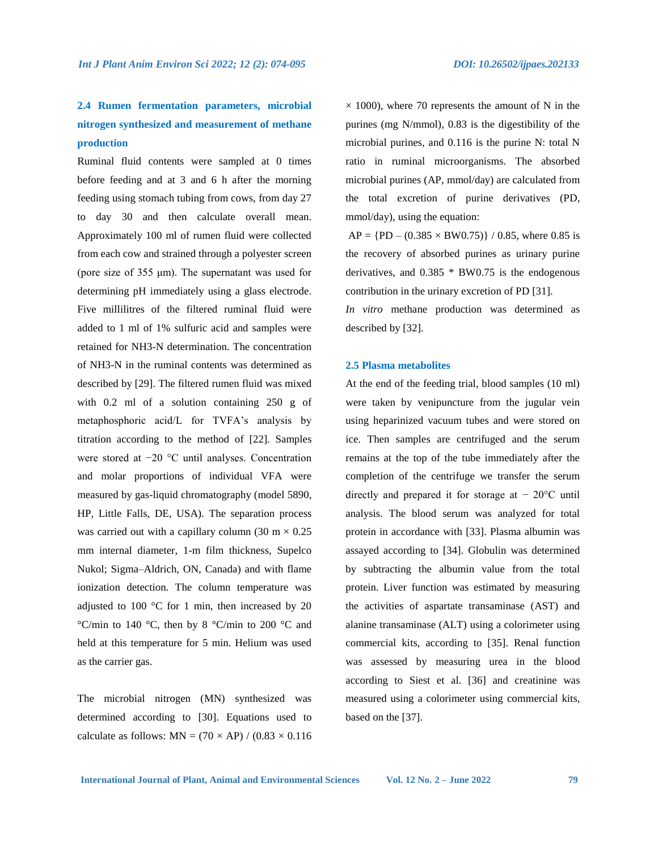# **2.4 Rumen fermentation parameters, microbial nitrogen synthesized and measurement of methane production**

Ruminal fluid contents were sampled at 0 times before feeding and at 3 and 6 h after the morning feeding using stomach tubing from cows, from day 27 to day 30 and then calculate overall mean. Approximately 100 ml of rumen fluid were collected from each cow and strained through a polyester screen (pore size of 355 μm). The supernatant was used for determining pH immediately using a glass electrode. Five millilitres of the filtered ruminal fluid were added to 1 ml of 1% sulfuric acid and samples were retained for NH3-N determination. The concentration of NH3-N in the ruminal contents was determined as described by [29]. The filtered rumen fluid was mixed with 0.2 ml of a solution containing 250 g of metaphosphoric acid/L for TVFA's analysis by titration according to the method of [22]. Samples were stored at −20 °C until analyses. Concentration and molar proportions of individual VFA were measured by gas-liquid chromatography (model 5890, HP, Little Falls, DE, USA). The separation process was carried out with a capillary column (30 m  $\times$  0.25 mm internal diameter, 1-m film thickness, Supelco Nukol; Sigma–Aldrich, ON, Canada) and with flame ionization detection. The column temperature was adjusted to 100 °C for 1 min, then increased by 20 °C/min to 140 °C, then by 8 °C/min to 200 °C and held at this temperature for 5 min. Helium was used as the carrier gas.

The microbial nitrogen (MN) synthesized was determined according to [30]. Equations used to calculate as follows:  $MN = (70 \times AP) / (0.83 \times 0.116)$   $\times$  1000), where 70 represents the amount of N in the purines (mg N/mmol), 0.83 is the digestibility of the microbial purines, and 0.116 is the purine N: total N ratio in ruminal microorganisms. The absorbed microbial purines (AP, mmol/day) are calculated from the total excretion of purine derivatives (PD, mmol/day), using the equation:

 $AP = {PD - (0.385 \times BW0.75)} / 0.85$ , where 0.85 is the recovery of absorbed purines as urinary purine derivatives, and  $0.385 * BW0.75$  is the endogenous contribution in the urinary excretion of PD [31].

*In vitro* methane production was determined as described by [32].

#### **2.5 Plasma metabolites**

At the end of the feeding trial, blood samples (10 ml) were taken by venipuncture from the jugular vein using heparinized vacuum tubes and were stored on ice. Then samples are centrifuged and the serum remains at the top of the tube immediately after the completion of the centrifuge we transfer the serum directly and prepared it for storage at  $-20$ °C until analysis. The blood serum was analyzed for total protein in accordance with [33]. Plasma albumin was assayed according to [34]. Globulin was determined by subtracting the albumin value from the total protein. Liver function was estimated by measuring the activities of aspartate transaminase (AST) and alanine transaminase (ALT) using a colorimeter using commercial kits, according to [35]. Renal function was assessed by measuring urea in the blood according to Siest et al. [36] and creatinine was measured using a colorimeter using commercial kits, based on the [37].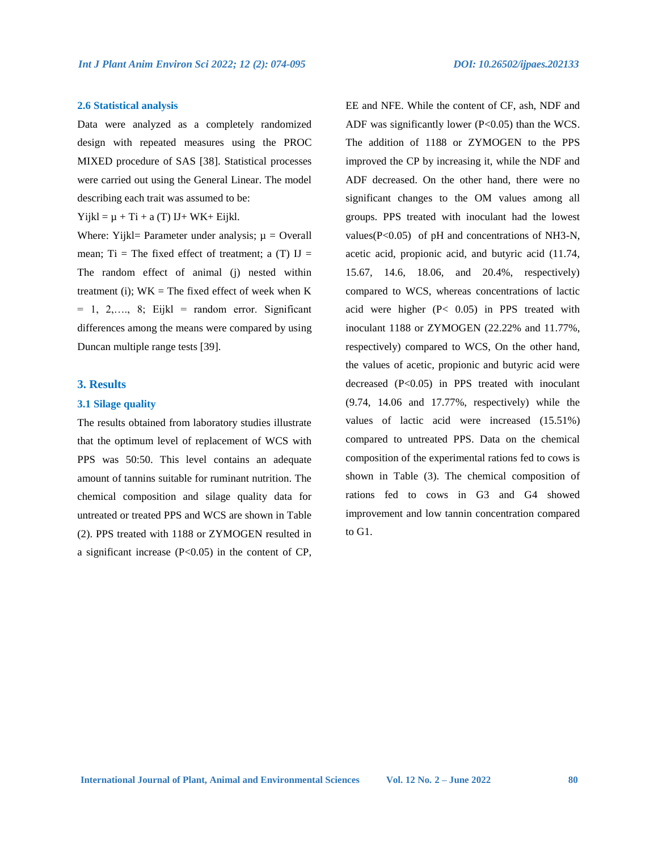#### **2.6 Statistical analysis**

Data were analyzed as a completely randomized design with repeated measures using the PROC MIXED procedure of SAS [38]. Statistical processes were carried out using the General Linear. The model describing each trait was assumed to be:

 $Yijkl = \mu + Ti + a(T) IJ+ WK+ Eijkl.$ 

Where: Yijkl= Parameter under analysis;  $\mu$  = Overall mean; Ti = The fixed effect of treatment; a  $(T)$  IJ = The random effect of animal (j) nested within treatment (i);  $WK = The fixed effect of week when K$  $= 1, 2,..., 8$ ; Eijkl = random error. Significant differences among the means were compared by using Duncan multiple range tests [39].

#### **3. Results**

#### **3.1 Silage quality**

The results obtained from laboratory studies illustrate that the optimum level of replacement of WCS with PPS was 50:50. This level contains an adequate amount of tannins suitable for ruminant nutrition. The chemical composition and silage quality data for untreated or treated PPS and WCS are shown in Table (2). PPS treated with 1188 or ZYMOGEN resulted in a significant increase  $(P<0.05)$  in the content of CP,

EE and NFE. While the content of CF, ash, NDF and ADF was significantly lower (P<0.05) than the WCS. The addition of 1188 or ZYMOGEN to the PPS improved the CP by increasing it, while the NDF and ADF decreased. On the other hand, there were no significant changes to the OM values among all groups. PPS treated with inoculant had the lowest values(P<0.05) of pH and concentrations of NH3-N, acetic acid, propionic acid, and butyric acid (11.74, 15.67, 14.6, 18.06, and 20.4%, respectively) compared to WCS, whereas concentrations of lactic acid were higher (P< 0.05) in PPS treated with inoculant 1188 or ZYMOGEN (22.22% and 11.77%, respectively) compared to WCS, On the other hand, the values of acetic, propionic and butyric acid were decreased (P<0.05) in PPS treated with inoculant (9.74, 14.06 and 17.77%, respectively) while the values of lactic acid were increased (15.51%) compared to untreated PPS. Data on the chemical composition of the experimental rations fed to cows is shown in Table (3). The chemical composition of rations fed to cows in G3 and G4 showed improvement and low tannin concentration compared to G1.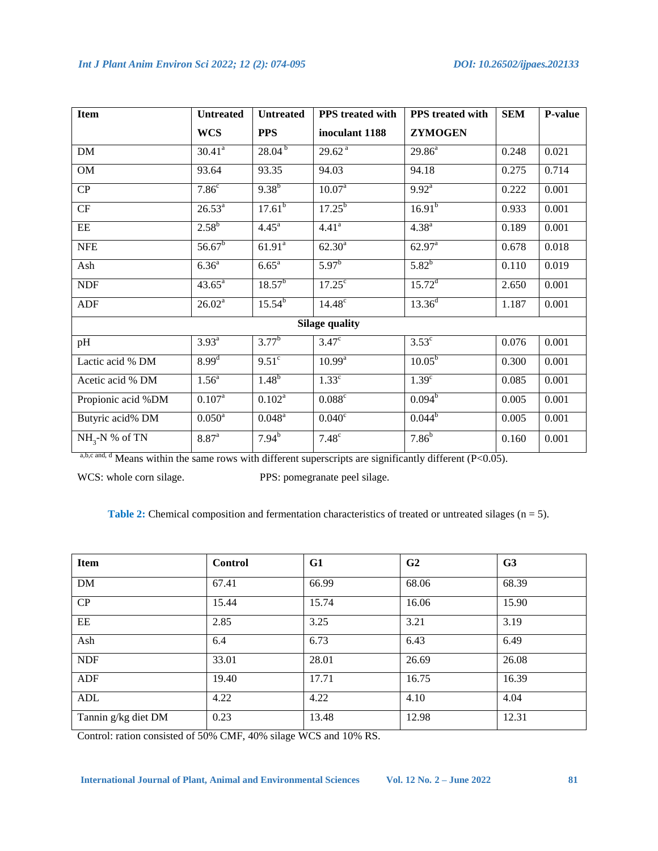| <b>Item</b>        | <b>Untreated</b>   | <b>Untreated</b>   | PPS treated with      | PPS treated with   | <b>SEM</b> | P-value |
|--------------------|--------------------|--------------------|-----------------------|--------------------|------------|---------|
|                    | <b>WCS</b>         | <b>PPS</b>         | inoculant 1188        | <b>ZYMOGEN</b>     |            |         |
| DM                 | $30.41^a$          | $28.04^{b}$        | 29.62 <sup>a</sup>    | $29.86^a$          | 0.248      | 0.021   |
| <b>OM</b>          | 93.64              | 93.35              | 94.03                 | 94.18              | 0.275      | 0.714   |
| CP                 | 7.86 <sup>c</sup>  | $9.38^{b}$         | 10.07 <sup>a</sup>    | $9.92^{a}$         | 0.222      | 0.001   |
| CF                 | $26.53^{a}$        | 17.61 <sup>b</sup> | $17.25^{b}$           | $16.91^{b}$        | 0.933      | 0.001   |
| EE                 | $2.58^{b}$         | $4.45^{\circ}$     | 4.41 <sup>a</sup>     | 4.38 <sup>a</sup>  | 0.189      | 0.001   |
| <b>NFE</b>         | $56.67^{b}$        | 61.91 <sup>a</sup> | $62.30^{a}$           | $62.97^{\text{a}}$ | 0.678      | 0.018   |
| Ash                | $6.36^{a}$         | $6.65^{\text{a}}$  | $5.97^{\rm b}$        | $5.82^{b}$         | 0.110      | 0.019   |
| <b>NDF</b>         | $43.65^{\circ}$    | $18.57^{b}$        | $17.25^{\circ}$       | $15.72^{\rm d}$    | 2.650      | 0.001   |
| <b>ADF</b>         | 26.02 <sup>a</sup> | $15.54^{b}$        | $14.48^c$             | $13.36^{d}$        | 1.187      | 0.001   |
|                    |                    |                    | <b>Silage quality</b> |                    |            |         |
| pH                 | $3.93^{a}$         | $3.77^{b}$         | $3.47^\circ$          | $3.53^{\circ}$     | 0.076      | 0.001   |
| Lactic acid % DM   | $8.99^{d}$         | 9.51 <sup>c</sup>  | $10.99^{a}$           | $10.05^{b}$        | 0.300      | 0.001   |
| Acetic acid % DM   | $1.56^{\circ}$     | $1.48^{b}$         | 1.33 <sup>c</sup>     | 1.39 <sup>c</sup>  | 0.085      | 0.001   |
| Propionic acid %DM | $0.107^{a}$        | $0.102^a$          | $0.088$ c             | $0.094^{b}$        | 0.005      | 0.001   |
| Butyric acid% DM   | $0.050^{\text{a}}$ | $0.048^{\text{a}}$ | $0.040^{\circ}$       | $0.044^b$          | 0.005      | 0.001   |
| $NH_{3}-N$ % of TN | $8.87^{a}$         | $7.94^{b}$         | $7.48^\circ$          | $7.86^{b}$         | 0.160      | 0.001   |

a,b,c and, d Means within the same rows with different superscripts are significantly different (P<0.05).

WCS: whole corn silage. PPS: pomegranate peel silage.

**Table 2:** Chemical composition and fermentation characteristics of treated or untreated silages (n = 5).

| <b>Item</b>         | <b>Control</b> | G1    | G <sub>2</sub> | G <sub>3</sub> |
|---------------------|----------------|-------|----------------|----------------|
| DM                  | 67.41          | 66.99 | 68.06          | 68.39          |
| CP                  | 15.44          | 15.74 | 16.06          | 15.90          |
| EE                  | 2.85           | 3.25  | 3.21           | 3.19           |
| Ash                 | 6.4            | 6.73  | 6.43           | 6.49           |
| <b>NDF</b>          | 33.01          | 28.01 | 26.69          | 26.08          |
| ADF                 | 19.40          | 17.71 | 16.75          | 16.39          |
| ADL                 | 4.22           | 4.22  | 4.10           | 4.04           |
| Tannin g/kg diet DM | 0.23           | 13.48 | 12.98          | 12.31          |

Control: ration consisted of 50% CMF, 40% silage WCS and 10% RS.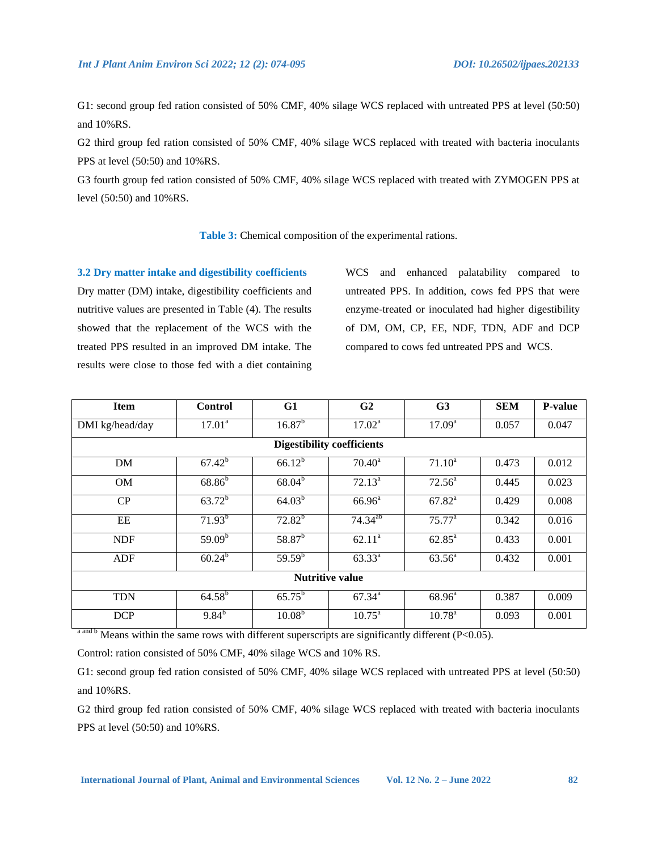G1: second group fed ration consisted of 50% CMF, 40% silage WCS replaced with untreated PPS at level (50:50) and 10%RS.

G2 third group fed ration consisted of 50% CMF, 40% silage WCS replaced with treated with bacteria inoculants PPS at level (50:50) and 10%RS.

G3 fourth group fed ration consisted of 50% CMF, 40% silage WCS replaced with treated with ZYMOGEN PPS at level (50:50) and 10%RS.

# **Table 3:** Chemical composition of the experimental rations.

#### **3.2 Dry matter intake and digestibility coefficients**

Dry matter (DM) intake, digestibility coefficients and nutritive values are presented in Table (4). The results showed that the replacement of the WCS with the treated PPS resulted in an improved DM intake. The results were close to those fed with a diet containing

WCS and enhanced palatability compared to untreated PPS. In addition, cows fed PPS that were enzyme-treated or inoculated had higher digestibility of DM, OM, CP, EE, NDF, TDN, ADF and DCP compared to cows fed untreated PPS and WCS.

| <b>Item</b>                       | <b>Control</b>        | G1                 | G <sub>2</sub>     | G <sub>3</sub>     | <b>SEM</b> | <b>P-value</b> |  |  |
|-----------------------------------|-----------------------|--------------------|--------------------|--------------------|------------|----------------|--|--|
| DMI kg/head/day                   | $17.01^a$             | $16.87^{b}$        | $17.02^a$          | 17.09 <sup>a</sup> | 0.057      | 0.047          |  |  |
| <b>Digestibility coefficients</b> |                       |                    |                    |                    |            |                |  |  |
| DM                                | $67.42^{b}$           | $66.12^{b}$        | $70.40^a$          | $71.10^a$          | 0.473      | 0.012          |  |  |
| <b>OM</b>                         | $68.86^{b}$           | $68.04^{b}$        | $72.13^a$          | $72.56^a$          | 0.445      | 0.023          |  |  |
| CP                                | $63.72^{b}$           | $64.03^{b}$        | $66.96^{\text{a}}$ | $67.82^a$          | 0.429      | 0.008          |  |  |
| EE                                | $71.93^{b}$           | $72.82^{b}$        | $74.34^{ab}$       | 75.77 <sup>a</sup> | 0.342      | 0.016          |  |  |
| <b>NDF</b>                        | 59.09 <sup>b</sup>    | $58.87^{b}$        | $62.11^a$          | $62.85^{\text{a}}$ | 0.433      | 0.001          |  |  |
| ADF                               | $60.24^{b}$           | $59.59^{b}$        | $63.33^{a}$        | $63.56^{\circ}$    | 0.432      | 0.001          |  |  |
| <b>Nutritive value</b>            |                       |                    |                    |                    |            |                |  |  |
| <b>TDN</b>                        | $64.58^{b}$           | $65.75^{\rm b}$    | $67.34^{\circ}$    | $68.96^{\circ}$    | 0.387      | 0.009          |  |  |
| <b>DCP</b>                        | $9.84^{\overline{b}}$ | 10.08 <sup>b</sup> | $10.75^{\text{a}}$ | $10.78^{\rm a}$    | 0.093      | 0.001          |  |  |

a and b Means within the same rows with different superscripts are significantly different (P<0.05).

Control: ration consisted of 50% CMF, 40% silage WCS and 10% RS.

G1: second group fed ration consisted of 50% CMF, 40% silage WCS replaced with untreated PPS at level (50:50) and 10%RS.

G2 third group fed ration consisted of 50% CMF, 40% silage WCS replaced with treated with bacteria inoculants PPS at level (50:50) and 10%RS.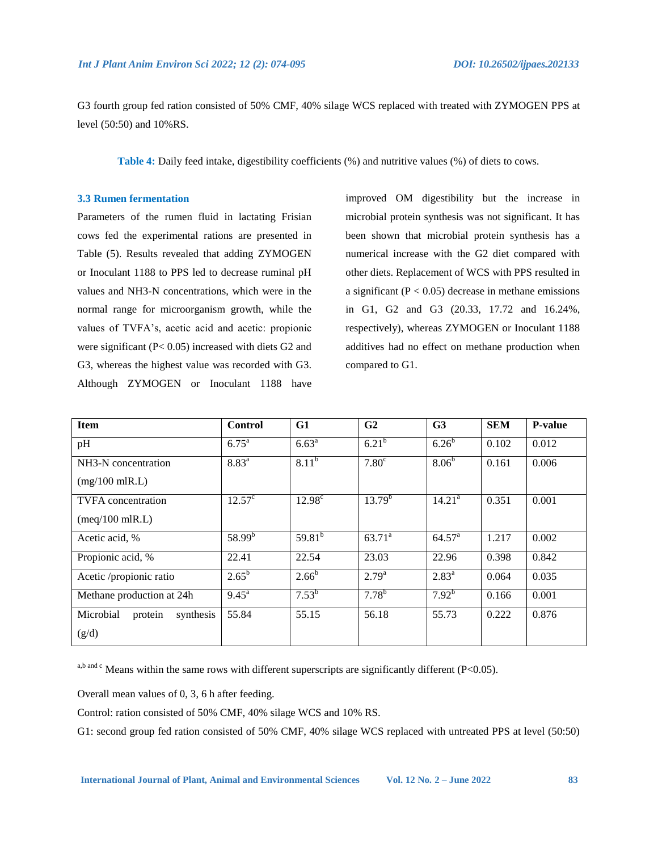G3 fourth group fed ration consisted of 50% CMF, 40% silage WCS replaced with treated with ZYMOGEN PPS at level (50:50) and 10%RS.

**Table 4:** Daily feed intake, digestibility coefficients (%) and nutritive values (%) of diets to cows.

#### **3.3 Rumen fermentation**

Parameters of the rumen fluid in lactating Frisian cows fed the experimental rations are presented in Table (5). Results revealed that adding ZYMOGEN or Inoculant 1188 to PPS led to decrease ruminal pH values and NH3-N concentrations, which were in the normal range for microorganism growth, while the values of TVFA's, acetic acid and acetic: propionic were significant (P< 0.05) increased with diets G2 and G3, whereas the highest value was recorded with G3. Although ZYMOGEN or Inoculant 1188 have

improved OM digestibility but the increase in microbial protein synthesis was not significant. It has been shown that microbial protein synthesis has a numerical increase with the G2 diet compared with other diets. Replacement of WCS with PPS resulted in a significant  $(P < 0.05)$  decrease in methane emissions in G1, G2 and G3 (20.33, 17.72 and 16.24%, respectively), whereas ZYMOGEN or Inoculant 1188 additives had no effect on methane production when compared to G1.

| <b>Item</b>                                  | <b>Control</b>    | G1              | G <sub>2</sub>    | G <sub>3</sub>     | <b>SEM</b> | <b>P-value</b> |
|----------------------------------------------|-------------------|-----------------|-------------------|--------------------|------------|----------------|
| pH                                           | $6.75^{\text{a}}$ | $6.63^{a}$      | $6.21^{b}$        | 6.26 <sup>b</sup>  | 0.102      | 0.012          |
| NH3-N concentration                          | $8.83^{a}$        | $8.11^{b}$      | 7.80 <sup>c</sup> | 8.06 <sup>b</sup>  | 0.161      | 0.006          |
| $(mg/100 \text{ m} \text{R} \cdot \text{L})$ |                   |                 |                   |                    |            |                |
| <b>TVFA</b> concentration                    | $12.57^{\circ}$   | $12.98^{\circ}$ | $13.79^{b}$       | 14.21 <sup>a</sup> | 0.351      | 0.001          |
| $(meq/100$ mlR.L)                            |                   |                 |                   |                    |            |                |
| Acetic acid, %                               | $58.99^{b}$       | $59.81^{b}$     | $63.71^a$         | $64.57^{\circ}$    | 1.217      | 0.002          |
| Propionic acid, %                            | 22.41             | 22.54           | 23.03             | 22.96              | 0.398      | 0.842          |
| Acetic /propionic ratio                      | $2.65^{\rm b}$    | $2.66^{b}$      | $2.79^{a}$        | $2.83^{a}$         | 0.064      | 0.035          |
| Methane production at 24h                    | $9.45^{\circ}$    | $7.53^{b}$      | $7.78^{b}$        | $7.92^{b}$         | 0.166      | 0.001          |
| Microbial<br>protein<br>synthesis            | 55.84             | 55.15           | 56.18             | 55.73              | 0.222      | 0.876          |
| (g/d)                                        |                   |                 |                   |                    |            |                |

a,b and c Means within the same rows with different superscripts are significantly different (P<0.05).

Overall mean values of 0, 3, 6 h after feeding.

Control: ration consisted of 50% CMF, 40% silage WCS and 10% RS.

G1: second group fed ration consisted of 50% CMF, 40% silage WCS replaced with untreated PPS at level (50:50)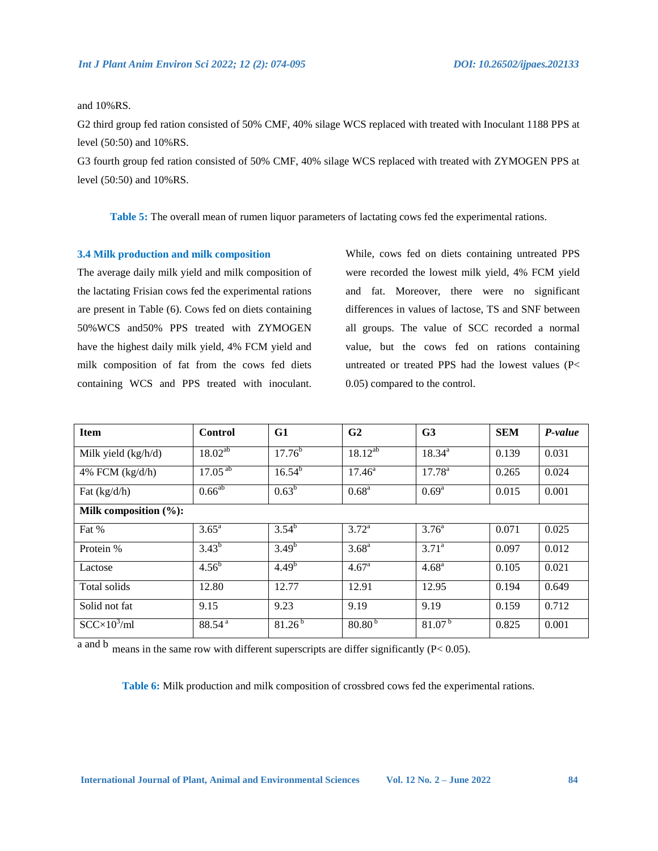# and 10%RS.

G2 third group fed ration consisted of 50% CMF, 40% silage WCS replaced with treated with Inoculant 1188 PPS at level (50:50) and 10%RS.

G3 fourth group fed ration consisted of 50% CMF, 40% silage WCS replaced with treated with ZYMOGEN PPS at level (50:50) and 10%RS.

**Table 5:** The overall mean of rumen liquor parameters of lactating cows fed the experimental rations.

#### **3.4 Milk production and milk composition**

The average daily milk yield and milk composition of the lactating Frisian cows fed the experimental rations are present in Table (6). Cows fed on diets containing 50%WCS and50% PPS treated with ZYMOGEN have the highest daily milk yield, 4% FCM yield and milk composition of fat from the cows fed diets containing WCS and PPS treated with inoculant. While, cows fed on diets containing untreated PPS were recorded the lowest milk yield, 4% FCM yield and fat. Moreover, there were no significant differences in values of lactose, TS and SNF between all groups. The value of SCC recorded a normal value, but the cows fed on rations containing untreated or treated PPS had the lowest values (P< 0.05) compared to the control.

| <b>Item</b>           | <b>Control</b>     | G1          | G <sub>2</sub>  | G <sub>3</sub>    | <b>SEM</b> | P-value |
|-----------------------|--------------------|-------------|-----------------|-------------------|------------|---------|
| Milk yield (kg/h/d)   | $18.02^{ab}$       | $17.76^{b}$ | $18.12^{ab}$    | $18.34^{a}$       | 0.139      | 0.031   |
| 4% FCM $(kg/d/h)$     | $17.05^{ab}$       | $16.54^{b}$ | $17.46^{\circ}$ | $17.78^{\rm a}$   | 0.265      | 0.024   |
| Fat $(kg/d/h)$        | $0.66^{ab}$        | $0.63^b$    | $0.68^{\rm a}$  | $0.69^{\rm a}$    | 0.015      | 0.001   |
| Milk composition (%): |                    |             |                 |                   |            |         |
| Fat %                 | $3.65^{\rm a}$     | $3.54^{b}$  | $3.72^{\rm a}$  | 3.76 <sup>a</sup> | 0.071      | 0.025   |
| Protein %             | $3.43^{b}$         | $3.49^{b}$  | $3.68^{a}$      | $3.71^a$          | 0.097      | 0.012   |
| Lactose               | $4.56^{b}$         | $4.49^{b}$  | $4.67^{\rm a}$  | 4.68 <sup>a</sup> | 0.105      | 0.021   |
| Total solids          | 12.80              | 12.77       | 12.91           | 12.95             | 0.194      | 0.649   |
| Solid not fat         | 9.15               | 9.23        | 9.19            | 9.19              | 0.159      | 0.712   |
| $SCC \times 10^3$ /ml | 88.54 <sup>a</sup> | $81.26^{b}$ | $80.80^{b}$     | $81.07^{b}$       | 0.825      | 0.001   |

a and b means in the same row with different superscripts are differ significantly (P< 0.05).

**Table 6:** Milk production and milk composition of crossbred cows fed the experimental rations.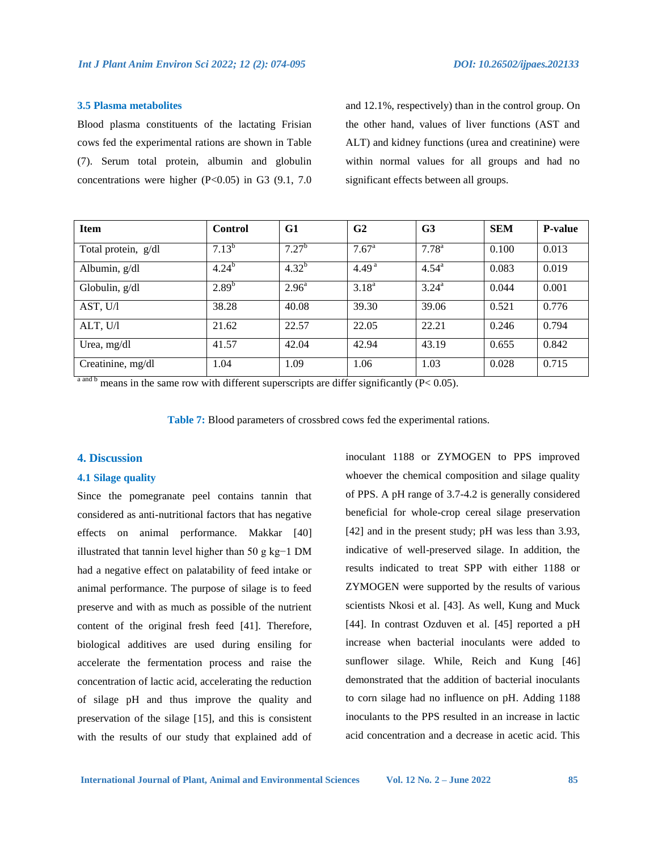#### **3.5 Plasma metabolites**

Blood plasma constituents of the lactating Frisian cows fed the experimental rations are shown in Table (7). Serum total protein, albumin and globulin concentrations were higher  $(P<0.05)$  in G3  $(9.1, 7.0)$ 

and 12.1%, respectively) than in the control group. On the other hand, values of liver functions (AST and ALT) and kidney functions (urea and creatinine) were within normal values for all groups and had no significant effects between all groups.

| <b>Item</b>         | Control    | G1                | G <sub>2</sub>    | G <sub>3</sub> | <b>SEM</b> | <b>P-value</b> |
|---------------------|------------|-------------------|-------------------|----------------|------------|----------------|
| Total protein, g/dl | $7.13^{b}$ | 7.27 <sup>b</sup> | $7.67^{\rm a}$    | $7.78^{\rm a}$ | 0.100      | 0.013          |
| Albumin, g/dl       | $4.24^{b}$ | $4.32^{b}$        | 4.49 <sup>a</sup> | $4.54^{\rm a}$ | 0.083      | 0.019          |
| Globulin, $g/dl$    | $2.89^{b}$ | $2.96^{\rm a}$    | $3.18^{a}$        | $3.24^{\rm a}$ | 0.044      | 0.001          |
| AST, U/l            | 38.28      | 40.08             | 39.30             | 39.06          | 0.521      | 0.776          |
| ALT, U/I            | 21.62      | 22.57             | 22.05             | 22.21          | 0.246      | 0.794          |
| Urea, mg/dl         | 41.57      | 42.04             | 42.94             | 43.19          | 0.655      | 0.842          |
| Creatinine, mg/dl   | 1.04       | 1.09              | 1.06              | 1.03           | 0.028      | 0.715          |

 $a<sub>and b</sub>$  means in the same row with different superscripts are differ significantly (P< 0.05).

**Table 7:** Blood parameters of crossbred cows fed the experimental rations.

#### **4. Discussion**

## **4.1 Silage quality**

Since the pomegranate peel contains tannin that considered as anti-nutritional factors that has negative effects on animal performance. Makkar [40] illustrated that tannin level higher than 50 g kg−1 DM had a negative effect on palatability of feed intake or animal performance. The purpose of silage is to feed preserve and with as much as possible of the nutrient content of the original fresh feed [41]. Therefore, biological additives are used during ensiling for accelerate the fermentation process and raise the concentration of lactic acid, accelerating the reduction of silage pH and thus improve the quality and preservation of the silage [15], and this is consistent with the results of our study that explained add of

inoculant 1188 or ZYMOGEN to PPS improved whoever the chemical composition and silage quality of PPS. A pH range of 3.7-4.2 is generally considered beneficial for whole-crop cereal silage preservation [42] and in the present study; pH was less than 3.93, indicative of well-preserved silage. In addition, the results indicated to treat SPP with either 1188 or ZYMOGEN were supported by the results of various scientists Nkosi et al. [43]. As well, Kung and Muck [44]. In contrast Ozduven et al. [45] reported a pH increase when bacterial inoculants were added to sunflower silage. While, Reich and Kung [46] demonstrated that the addition of bacterial inoculants to corn silage had no influence on pH. Adding 1188 inoculants to the PPS resulted in an increase in lactic acid concentration and a decrease in acetic acid. This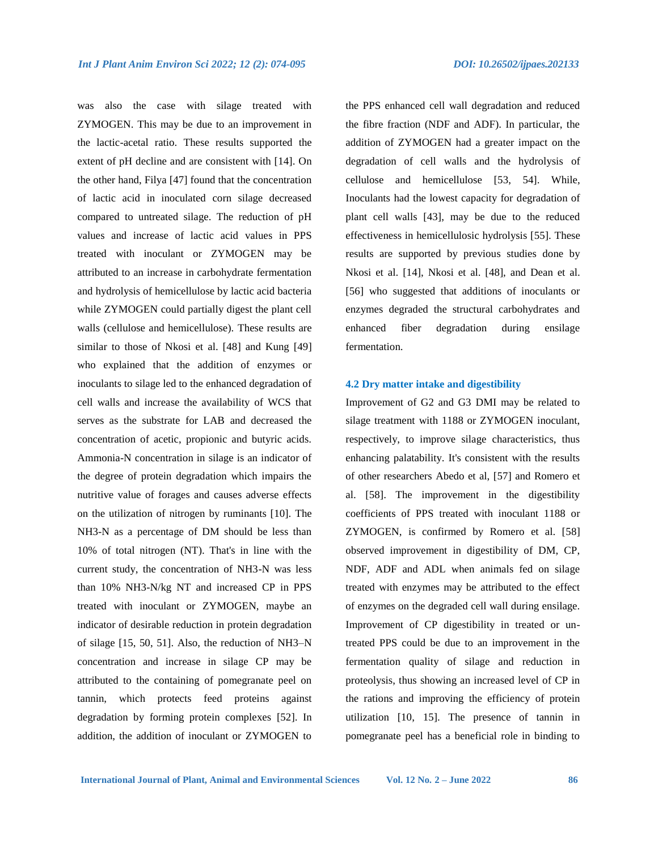was also the case with silage treated with ZYMOGEN. This may be due to an improvement in the lactic-acetal ratio. These results supported the extent of pH decline and are consistent with [14]. On the other hand, Filya [47] found that the concentration of lactic acid in inoculated corn silage decreased compared to untreated silage. The reduction of pH values and increase of lactic acid values in PPS treated with inoculant or ZYMOGEN may be attributed to an increase in carbohydrate fermentation and hydrolysis of hemicellulose by lactic acid bacteria while ZYMOGEN could partially digest the plant cell walls (cellulose and hemicellulose). These results are similar to those of Nkosi et al. [48] and Kung [49] who explained that the addition of enzymes or inoculants to silage led to the enhanced degradation of cell walls and increase the availability of WCS that serves as the substrate for LAB and decreased the concentration of acetic, propionic and butyric acids. Ammonia-N concentration in silage is an indicator of the degree of protein degradation which impairs the nutritive value of forages and causes adverse effects on the utilization of nitrogen by ruminants [10]. The NH3-N as a percentage of DM should be less than 10% of total nitrogen (NT). That's in line with the current study, the concentration of NH3-N was less than 10% NH3-N/kg NT and increased CP in PPS treated with inoculant or ZYMOGEN, maybe an indicator of desirable reduction in protein degradation of silage [15, 50, 51]. Also, the reduction of NH3–N concentration and increase in silage CP may be attributed to the containing of pomegranate peel on tannin, which protects feed proteins against degradation by forming protein complexes [52]. In addition, the addition of inoculant or ZYMOGEN to

the PPS enhanced cell wall degradation and reduced the fibre fraction (NDF and ADF). In particular, the addition of ZYMOGEN had a greater impact on the degradation of cell walls and the hydrolysis of cellulose and hemicellulose [53, 54]. While, Inoculants had the lowest capacity for degradation of plant cell walls [43], may be due to the reduced effectiveness in hemicellulosic hydrolysis [55]. These results are supported by previous studies done by Nkosi et al. [14], Nkosi et al. [48], and Dean et al. [56] who suggested that additions of inoculants or enzymes degraded the structural carbohydrates and enhanced fiber degradation during ensilage fermentation.

## **4.2 Dry matter intake and digestibility**

Improvement of G2 and G3 DMI may be related to silage treatment with 1188 or ZYMOGEN inoculant, respectively, to improve silage characteristics, thus enhancing palatability. It's consistent with the results of other researchers Abedo et al, [57] and Romero et al. [58]. The improvement in the digestibility coefficients of PPS treated with inoculant 1188 or ZYMOGEN, is confirmed by Romero et al. [58] observed improvement in digestibility of DM, CP, NDF, ADF and ADL when animals fed on silage treated with enzymes may be attributed to the effect of enzymes on the degraded cell wall during ensilage. Improvement of CP digestibility in treated or untreated PPS could be due to an improvement in the fermentation quality of silage and reduction in proteolysis, thus showing an increased level of CP in the rations and improving the efficiency of protein utilization [10, 15]. The presence of tannin in pomegranate peel has a beneficial role in binding to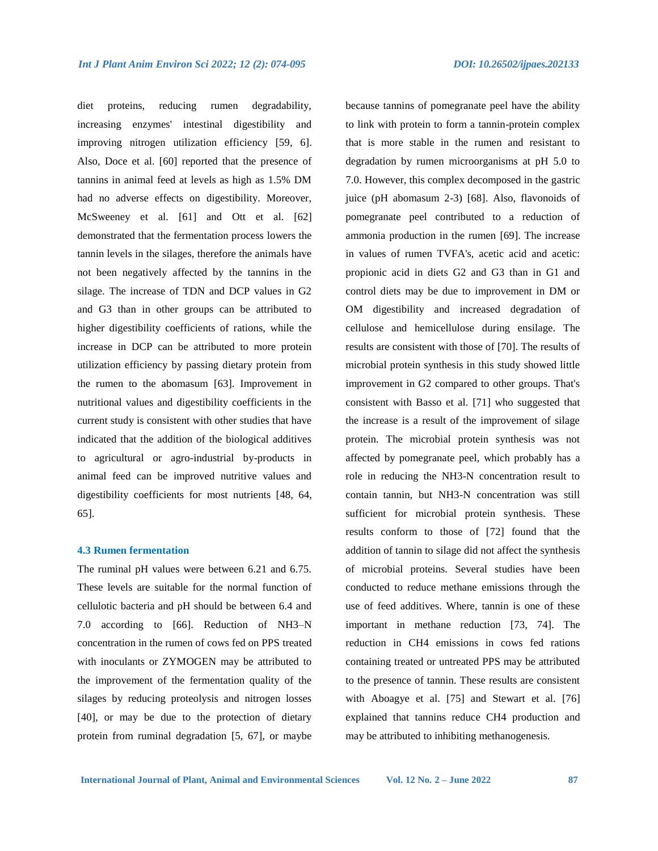diet proteins, reducing rumen degradability, increasing enzymes' intestinal digestibility and improving nitrogen utilization efficiency [59, 6]. Also, Doce et al. [60] reported that the presence of tannins in animal feed at levels as high as 1.5% DM had no adverse effects on digestibility. Moreover, McSweeney et al. [61] and Ott et al. [62] demonstrated that the fermentation process lowers the tannin levels in the silages, therefore the animals have not been negatively affected by the tannins in the silage. The increase of TDN and DCP values in G2 and G3 than in other groups can be attributed to higher digestibility coefficients of rations, while the increase in DCP can be attributed to more protein utilization efficiency by passing dietary protein from the rumen to the abomasum [63]. Improvement in nutritional values and digestibility coefficients in the current study is consistent with other studies that have indicated that the addition of the biological additives to agricultural or agro-industrial by-products in animal feed can be improved nutritive values and digestibility coefficients for most nutrients [48, 64, 65].

#### **4.3 Rumen fermentation**

The ruminal pH values were between 6.21 and 6.75. These levels are suitable for the normal function of cellulotic bacteria and pH should be between 6.4 and 7.0 according to [66]. Reduction of NH3–N concentration in the rumen of cows fed on PPS treated with inoculants or ZYMOGEN may be attributed to the improvement of the fermentation quality of the silages by reducing proteolysis and nitrogen losses [40], or may be due to the protection of dietary protein from ruminal degradation [5, 67], or maybe

because tannins of pomegranate peel have the ability to link with protein to form a tannin-protein complex that is more stable in the rumen and resistant to degradation by rumen microorganisms at pH 5.0 to 7.0. However, this complex decomposed in the gastric juice (pH abomasum 2-3) [68]. Also, flavonoids of pomegranate peel contributed to a reduction of ammonia production in the rumen [69]. The increase in values of rumen TVFA's, acetic acid and acetic: propionic acid in diets G2 and G3 than in G1 and control diets may be due to improvement in DM or OM digestibility and increased degradation of cellulose and hemicellulose during ensilage. The results are consistent with those of [70]. The results of microbial protein synthesis in this study showed little improvement in G2 compared to other groups. That's consistent with Basso et al. [71] who suggested that the increase is a result of the improvement of silage protein. The microbial protein synthesis was not affected by pomegranate peel, which probably has a role in reducing the NH3-N concentration result to contain tannin, but NH3-N concentration was still sufficient for microbial protein synthesis. These results conform to those of [72] found that the addition of tannin to silage did not affect the synthesis of microbial proteins. Several studies have been conducted to reduce methane emissions through the use of feed additives. Where, tannin is one of these important in methane reduction [73, 74]. The reduction in CH4 emissions in cows fed rations containing treated or untreated PPS may be attributed to the presence of tannin. These results are consistent with Aboagye et al. [75] and Stewart et al. [76] explained that tannins reduce CH4 production and may be attributed to inhibiting methanogenesis.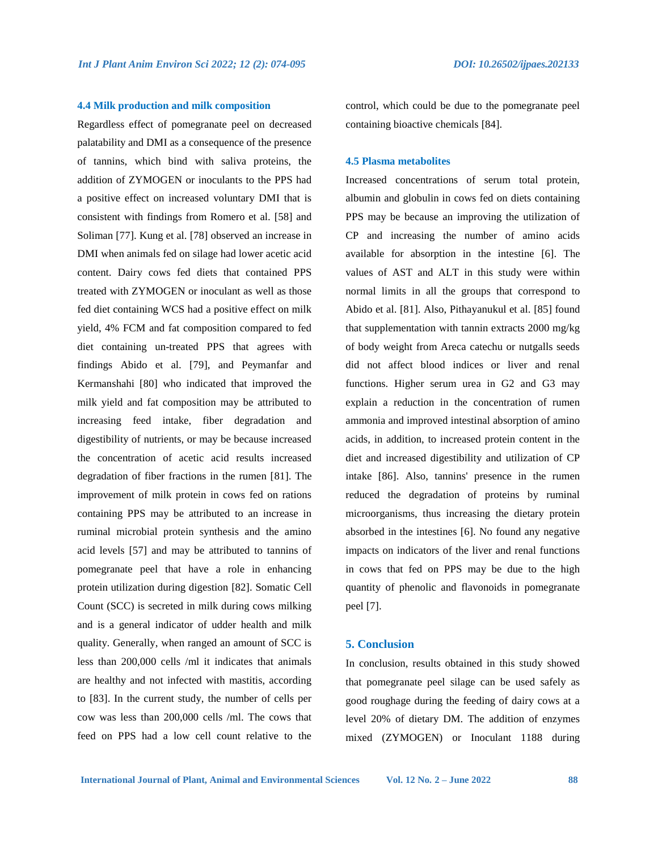#### **4.4 Milk production and milk composition**

Regardless effect of pomegranate peel on decreased palatability and DMI as a consequence of the presence of tannins, which bind with saliva proteins, the addition of ZYMOGEN or inoculants to the PPS had a positive effect on increased voluntary DMI that is consistent with findings from Romero et al. [58] and Soliman [77]. Kung et al. [78] observed an increase in DMI when animals fed on silage had lower acetic acid content. Dairy cows fed diets that contained PPS treated with ZYMOGEN or inoculant as well as those fed diet containing WCS had a positive effect on milk yield, 4% FCM and fat composition compared to fed diet containing un-treated PPS that agrees with findings Abido et al. [79], and Peymanfar and Kermanshahi [80] who indicated that improved the milk yield and fat composition may be attributed to increasing feed intake, fiber degradation and digestibility of nutrients, or may be because increased the concentration of acetic acid results increased degradation of fiber fractions in the rumen [81]. The improvement of milk protein in cows fed on rations containing PPS may be attributed to an increase in ruminal microbial protein synthesis and the amino acid levels [57] and may be attributed to tannins of pomegranate peel that have a role in enhancing protein utilization during digestion [82]. Somatic Cell Count (SCC) is secreted in milk during cows milking and is a general indicator of udder health and milk quality. Generally, when ranged an amount of SCC is less than 200,000 cells /ml it indicates that animals are healthy and not infected with mastitis, according to [83]. In the current study, the number of cells per cow was less than 200,000 cells /ml. The cows that feed on PPS had a low cell count relative to the

control, which could be due to the pomegranate peel containing bioactive chemicals [84].

#### **4.5 Plasma metabolites**

Increased concentrations of serum total protein, albumin and globulin in cows fed on diets containing PPS may be because an improving the utilization of CP and increasing the number of amino acids available for absorption in the intestine [6]. The values of AST and ALT in this study were within normal limits in all the groups that correspond to Abido et al. [81]. Also, Pithayanukul et al. [85] found that supplementation with tannin extracts 2000 mg/kg of body weight from Areca catechu or nutgalls seeds did not affect blood indices or liver and renal functions. Higher serum urea in G2 and G3 may explain a reduction in the concentration of rumen ammonia and improved intestinal absorption of amino acids, in addition, to increased protein content in the diet and increased digestibility and utilization of CP intake [86]. Also, tannins' presence in the rumen reduced the degradation of proteins by ruminal microorganisms, thus increasing the dietary protein absorbed in the intestines [6]. No found any negative impacts on indicators of the liver and renal functions in cows that fed on PPS may be due to the high quantity of phenolic and flavonoids in pomegranate peel [7].

#### **5. Conclusion**

In conclusion, results obtained in this study showed that pomegranate peel silage can be used safely as good roughage during the feeding of dairy cows at a level 20% of dietary DM. The addition of enzymes mixed (ZYMOGEN) or Inoculant 1188 during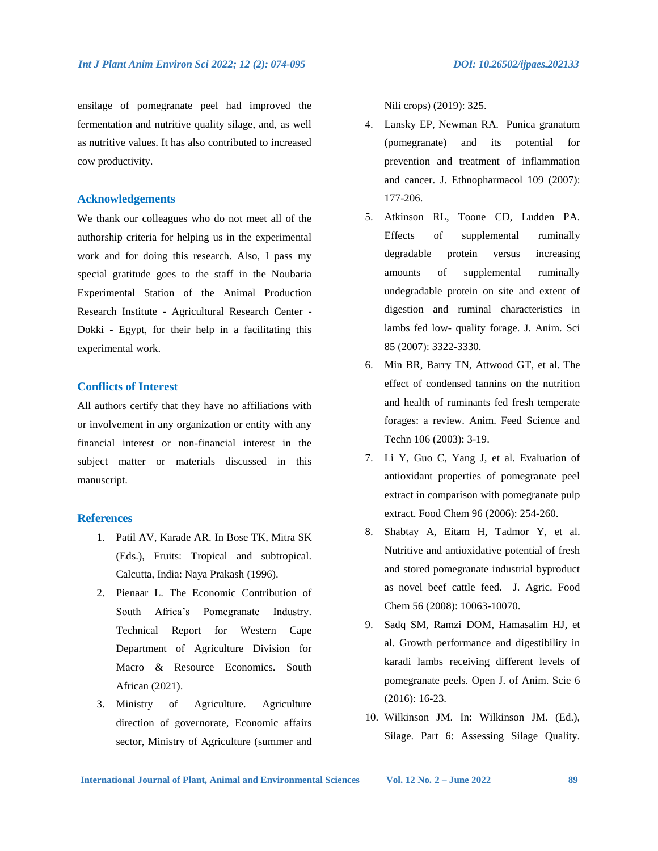ensilage of pomegranate peel had improved the fermentation and nutritive quality silage, and, as well as nutritive values. It has also contributed to increased cow productivity.

#### **Acknowledgements**

We thank our colleagues who do not meet all of the authorship criteria for helping us in the experimental work and for doing this research. Also, I pass my special gratitude goes to the staff in the Noubaria Experimental Station of the Animal Production Research Institute - Agricultural Research Center - Dokki - Egypt, for their help in a facilitating this experimental work.

#### **Conflicts of Interest**

All authors certify that they have no affiliations with or involvement in any organization or entity with any financial interest or non-financial interest in the subject matter or materials discussed in this manuscript.

#### **References**

- 1. Patil AV, Karade AR. In Bose TK, Mitra SK (Eds.), Fruits: Tropical and subtropical. Calcutta, India: Naya Prakash (1996).
- 2. Pienaar L. The Economic Contribution of South Africa's Pomegranate Industry. Technical Report for Western Cape Department of Agriculture Division for Macro & Resource Economics. South African (2021).
- 3. Ministry of Agriculture. Agriculture direction of governorate, Economic affairs sector, Ministry of Agriculture (summer and

Nili crops) (2019): 325.

- 4. Lansky EP, Newman RA. Punica granatum (pomegranate) and its potential for prevention and treatment of inflammation and cancer. J. Ethnopharmacol 109 (2007): 177-206.
- 5. Atkinson RL, Toone CD, Ludden PA. Effects of supplemental ruminally degradable protein versus increasing amounts of supplemental ruminally undegradable protein on site and extent of digestion and ruminal characteristics in lambs fed low- quality forage. J. Anim. Sci 85 (2007): 3322-3330.
- 6. Min BR, Barry TN, Attwood GT, et al. The effect of condensed tannins on the nutrition and health of ruminants fed fresh temperate forages: a review. Anim. Feed Science and Techn 106 (2003): 3-19.
- 7. Li Y, Guo C, Yang J, et al. Evaluation of antioxidant properties of pomegranate peel extract in comparison with pomegranate pulp extract. Food Chem 96 (2006): 254-260.
- 8. Shabtay A, Eitam H, Tadmor Y, et al. Nutritive and antioxidative potential of fresh and stored pomegranate industrial byproduct as novel beef cattle feed. J. Agric. Food Chem 56 (2008): 10063-10070.
- 9. Sadq SM, Ramzi DOM, Hamasalim HJ, et al. Growth performance and digestibility in karadi lambs receiving different levels of pomegranate peels. Open J. of Anim. Scie 6 (2016): 16-23.
- 10. Wilkinson JM. In: Wilkinson JM. (Ed.), Silage. Part 6: Assessing Silage Quality.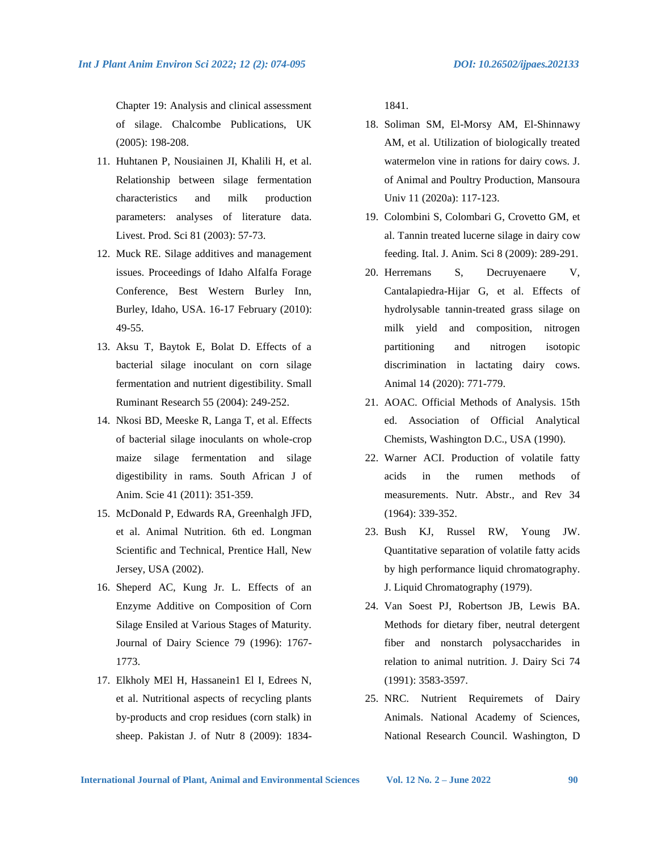Chapter 19: Analysis and clinical assessment of silage. Chalcombe Publications, UK (2005): 198-208.

- 11. Huhtanen P, Nousiainen JI, Khalili H, et al. Relationship between silage fermentation characteristics and milk production parameters: analyses of literature data. Livest. Prod. Sci 81 (2003): 57-73.
- 12. Muck RE. Silage additives and management issues. Proceedings of Idaho Alfalfa Forage Conference, Best Western Burley Inn, Burley, Idaho, USA. 16-17 February (2010): 49-55.
- 13. Aksu T, Baytok E, Bolat D. Effects of a bacterial silage inoculant on corn silage fermentation and nutrient digestibility. Small Ruminant Research 55 (2004): 249-252.
- 14. Nkosi BD, Meeske R, Langa T, et al. Effects of bacterial silage inoculants on whole-crop maize silage fermentation and silage digestibility in rams. South African J of Anim. Scie 41 (2011): 351-359.
- 15. McDonald P, Edwards RA, Greenhalgh JFD, et al. Animal Nutrition. 6th ed. Longman Scientific and Technical, Prentice Hall, New Jersey, USA (2002).
- 16. Sheperd AC, Kung Jr. L. Effects of an Enzyme Additive on Composition of Corn Silage Ensiled at Various Stages of Maturity. Journal of Dairy Science 79 (1996): 1767- 1773.
- 17. Elkholy MEl H, Hassanein1 El I, Edrees N, et al. Nutritional aspects of recycling plants by-products and crop residues (corn stalk) in sheep. Pakistan J. of Nutr 8 (2009): 1834-

1841.

- 18. Soliman SM, El-Morsy AM, El-Shinnawy AM, et al. Utilization of biologically treated watermelon vine in rations for dairy cows. J. of Animal and Poultry Production, Mansoura Univ 11 (2020a): 117-123.
- 19. Colombini S, Colombari G, Crovetto GM, et al. Tannin treated lucerne silage in dairy cow feeding. Ital. J. Anim. Sci 8 (2009): 289-291.
- 20. Herremans S, Decruyenaere V, Cantalapiedra-Hijar G, et al. Effects of hydrolysable tannin-treated grass silage on milk yield and composition, nitrogen partitioning and nitrogen isotopic discrimination in lactating dairy cows. Animal 14 (2020): 771-779.
- 21. AOAC. Official Methods of Analysis. 15th ed. Association of Official Analytical Chemists, Washington D.C., USA (1990).
- 22. Warner ACI. Production of volatile fatty acids in the rumen methods of measurements. Nutr. Abstr., and Rev 34 (1964): 339-352.
- 23. Bush KJ, Russel RW, Young JW. Quantitative separation of volatile fatty acids by high performance liquid chromatography. J. Liquid Chromatography (1979).
- 24. Van Soest PJ, Robertson JB, Lewis BA. Methods for dietary fiber, neutral detergent fiber and nonstarch polysaccharides in relation to animal nutrition. J. Dairy Sci 74 (1991): 3583-3597.
- 25. NRC. Nutrient Requiremets of Dairy Animals. National Academy of Sciences, National Research Council. Washington, D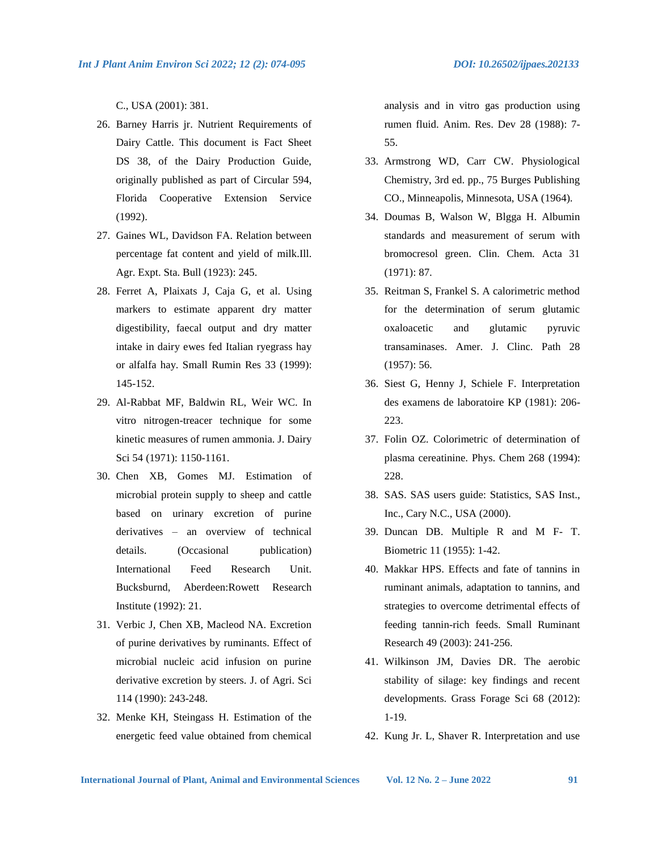C., USA (2001): 381.

- 26. Barney Harris jr. Nutrient Requirements of Dairy Cattle. This document is Fact Sheet DS 38, of the Dairy Production Guide, originally published as part of Circular 594, Florida Cooperative Extension Service (1992).
- 27. Gaines WL, Davidson FA. Relation between percentage fat content and yield of milk.Ill. Agr. Expt. Sta. Bull (1923): 245.
- 28. Ferret A, Plaixats J, Caja G, et al. Using markers to estimate apparent dry matter digestibility, faecal output and dry matter intake in dairy ewes fed Italian ryegrass hay or alfalfa hay. Small Rumin Res 33 (1999): 145-152.
- 29. Al-Rabbat MF, Baldwin RL, Weir WC. In vitro nitrogen-treacer technique for some kinetic measures of rumen ammonia. J. Dairy Sci 54 (1971): 1150-1161.
- 30. Chen XB, Gomes MJ. Estimation of microbial protein supply to sheep and cattle based on urinary excretion of purine derivatives – an overview of technical details. (Occasional publication) International Feed Research Unit. Bucksburnd, Aberdeen:Rowett Research Institute (1992): 21.
- 31. Verbic J, Chen XB, Macleod NA. Excretion of purine derivatives by ruminants. Effect of microbial nucleic acid infusion on purine derivative excretion by steers. J. of Agri. Sci 114 (1990): 243-248.
- 32. Menke KH, Steingass H. Estimation of the energetic feed value obtained from chemical

analysis and in vitro gas production using rumen fluid. Anim. Res. Dev 28 (1988): 7- 55.

- 33. Armstrong WD, Carr CW. Physiological Chemistry, 3rd ed. pp., 75 Burges Publishing CO., Minneapolis, Minnesota, USA (1964).
- 34. Doumas B, Walson W, Blgga H. Albumin standards and measurement of serum with bromocresol green. Clin. Chem. Acta 31 (1971): 87.
- 35. Reitman S, Frankel S. A calorimetric method for the determination of serum glutamic oxaloacetic and glutamic pyruvic transaminases. Amer. J. Clinc. Path 28 (1957): 56.
- 36. Siest G, Henny J, Schiele F. Interpretation des examens de laboratoire KP (1981): 206- 223.
- 37. Folin OZ. Colorimetric of determination of plasma cereatinine. Phys. Chem 268 (1994): 228.
- 38. SAS. SAS users guide: Statistics, SAS Inst., Inc., Cary N.C., USA (2000).
- 39. Duncan DB. Multiple R and M F- T. Biometric 11 (1955): 1-42.
- 40. Makkar HPS. Effects and fate of tannins in ruminant animals, adaptation to tannins, and strategies to overcome detrimental effects of feeding tannin-rich feeds. Small Ruminant Research 49 (2003): 241-256.
- 41. Wilkinson JM, Davies DR. The aerobic stability of silage: key findings and recent developments. Grass Forage Sci 68 (2012): 1-19.
- 42. Kung Jr. L, Shaver R. Interpretation and use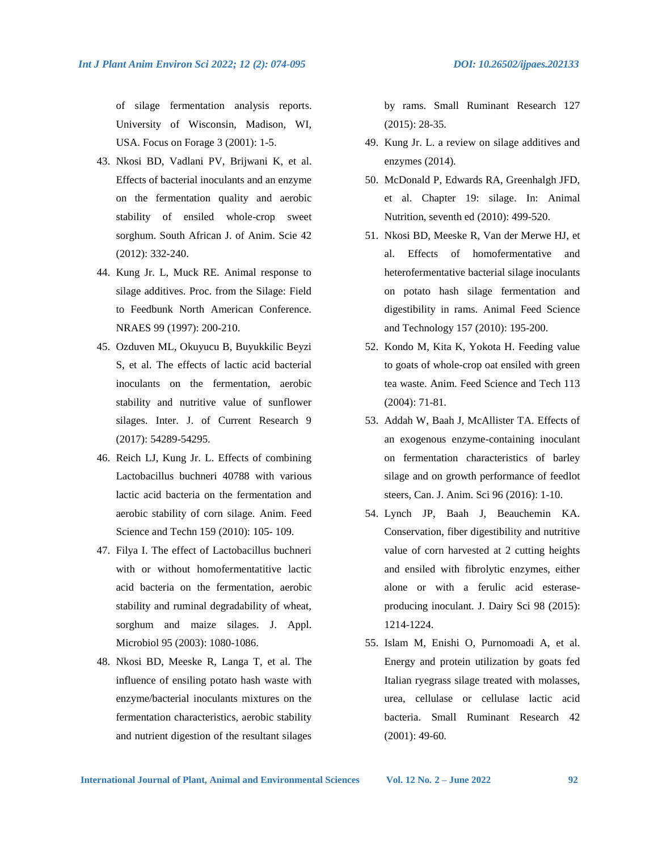of silage fermentation analysis reports. University of Wisconsin, Madison, WI, USA. Focus on Forage 3 (2001): 1-5.

- 43. Nkosi BD, Vadlani PV, Brijwani K, et al. Effects of bacterial inoculants and an enzyme on the fermentation quality and aerobic stability of ensiled whole-crop sweet sorghum. South African J. of Anim. Scie 42 (2012): 332-240.
- 44. Kung Jr. L, Muck RE. Animal response to silage additives. Proc. from the Silage: Field to Feedbunk North American Conference. NRAES 99 (1997): 200-210.
- 45. Ozduven ML, Okuyucu B, Buyukkilic Beyzi S, et al. The effects of lactic acid bacterial inoculants on the fermentation, aerobic stability and nutritive value of sunflower silages. Inter. J. of Current Research 9 (2017): 54289-54295.
- 46. Reich LJ, Kung Jr. L. Effects of combining Lactobacillus buchneri 40788 with various lactic acid bacteria on the fermentation and aerobic stability of corn silage. Anim. Feed Science and Techn 159 (2010): 105- 109.
- 47. Filya I. The effect of Lactobacillus buchneri with or without homofermentatitive lactic acid bacteria on the fermentation, aerobic stability and ruminal degradability of wheat, sorghum and maize silages. J. Appl. Microbiol 95 (2003): 1080-1086.
- 48. Nkosi BD, Meeske R, Langa T, et al. The influence of ensiling potato hash waste with enzyme/bacterial inoculants mixtures on the fermentation characteristics, aerobic stability and nutrient digestion of the resultant silages

by rams. Small Ruminant Research 127 (2015): 28-35.

- 49. Kung Jr. L. a review on silage additives and enzymes (2014).
- 50. McDonald P, Edwards RA, Greenhalgh JFD, et al. Chapter 19: silage. In: Animal Nutrition, seventh ed (2010): 499-520.
- 51. Nkosi BD, Meeske R, Van der Merwe HJ, et al. Effects of homofermentative and heterofermentative bacterial silage inoculants on potato hash silage fermentation and digestibility in rams. Animal Feed Science and Technology 157 (2010): 195-200.
- 52. Kondo M, Kita K, Yokota H. Feeding value to goats of whole-crop oat ensiled with green tea waste. Anim. Feed Science and Tech 113 (2004): 71-81.
- 53. Addah W, Baah J, McAllister TA. Effects of an exogenous enzyme-containing inoculant on fermentation characteristics of barley silage and on growth performance of feedlot steers, Can. J. Anim. Sci 96 (2016): 1-10.
- 54. Lynch JP, Baah J, Beauchemin KA. Conservation, fiber digestibility and nutritive value of corn harvested at 2 cutting heights and ensiled with fibrolytic enzymes, either alone or with a ferulic acid esteraseproducing inoculant. J. Dairy Sci 98 (2015): 1214-1224.
- 55. Islam M, Enishi O, Purnomoadi A, et al. Energy and protein utilization by goats fed Italian ryegrass silage treated with molasses, urea, cellulase or cellulase lactic acid bacteria. Small Ruminant Research 42 (2001): 49-60.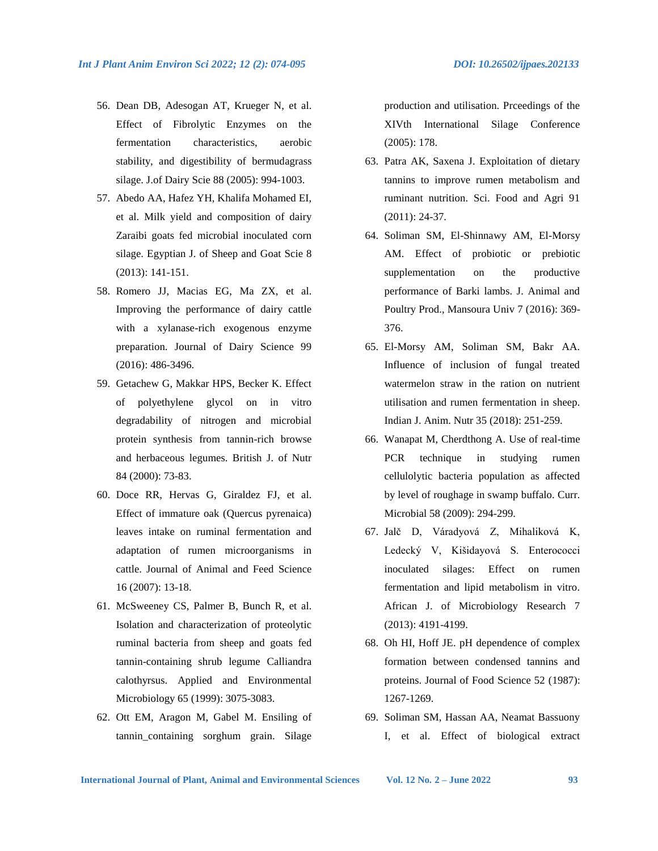- 56. Dean DB, Adesogan AT, Krueger N, et al. Effect of Fibrolytic Enzymes on the fermentation characteristics, aerobic stability, and digestibility of bermudagrass silage. J.of Dairy Scie 88 (2005): 994-1003.
- 57. Abedo AA, Hafez YH, Khalifa Mohamed EI, et al. Milk yield and composition of dairy Zaraibi goats fed microbial inoculated corn silage. Egyptian J. of Sheep and Goat Scie 8 (2013): 141-151.
- 58. Romero JJ, Macias EG, Ma ZX, et al. Improving the performance of dairy cattle with a xylanase-rich exogenous enzyme preparation. Journal of Dairy Science 99 (2016): 486-3496.
- 59. Getachew G, Makkar HPS, Becker K. Effect of polyethylene glycol on in vitro degradability of nitrogen and microbial protein synthesis from tannin-rich browse and herbaceous legumes. British J. of Nutr 84 (2000): 73-83.
- 60. Doce RR, Hervas G, Giraldez FJ, et al. Effect of immature oak (Quercus pyrenaica) leaves intake on ruminal fermentation and adaptation of rumen microorganisms in cattle. Journal of Animal and Feed Science 16 (2007): 13-18.
- 61. McSweeney CS, Palmer B, Bunch R, et al. Isolation and characterization of proteolytic ruminal bacteria from sheep and goats fed tannin-containing shrub legume Calliandra calothyrsus. Applied and Environmental Microbiology 65 (1999): 3075-3083.
- 62. Ott EM, Aragon M, Gabel M. Ensiling of tannin\_containing sorghum grain. Silage

production and utilisation. Prceedings of the XIVth International Silage Conference (2005): 178.

- 63. Patra AK, Saxena J. Exploitation of dietary tannins to improve rumen metabolism and ruminant nutrition. Sci. Food and Agri 91 (2011): 24-37.
- 64. Soliman SM, El-Shinnawy AM, El-Morsy AM. Effect of probiotic or prebiotic supplementation on the productive performance of Barki lambs. J. Animal and Poultry Prod., Mansoura Univ 7 (2016): 369- 376.
- 65. El-Morsy AM, Soliman SM, Bakr AA. Influence of inclusion of fungal treated watermelon straw in the ration on nutrient utilisation and rumen fermentation in sheep. Indian J. Anim. Nutr 35 (2018): 251-259.
- 66. Wanapat M, Cherdthong A. Use of real-time PCR technique in studying rumen cellulolytic bacteria population as affected by level of roughage in swamp buffalo. Curr. Microbial 58 (2009): 294-299.
- 67. Jalč D, Váradyová Z, Mihaliková K, Ledecký V, Kišidayová S. Enterococci inoculated silages: Effect on rumen fermentation and lipid metabolism in vitro. African J. of Microbiology Research 7 (2013): 4191-4199.
- 68. Oh HI, Hoff JE. pH dependence of complex formation between condensed tannins and proteins. Journal of Food Science 52 (1987): 1267-1269.
- 69. Soliman SM, Hassan AA, Neamat Bassuony I, et al. Effect of biological extract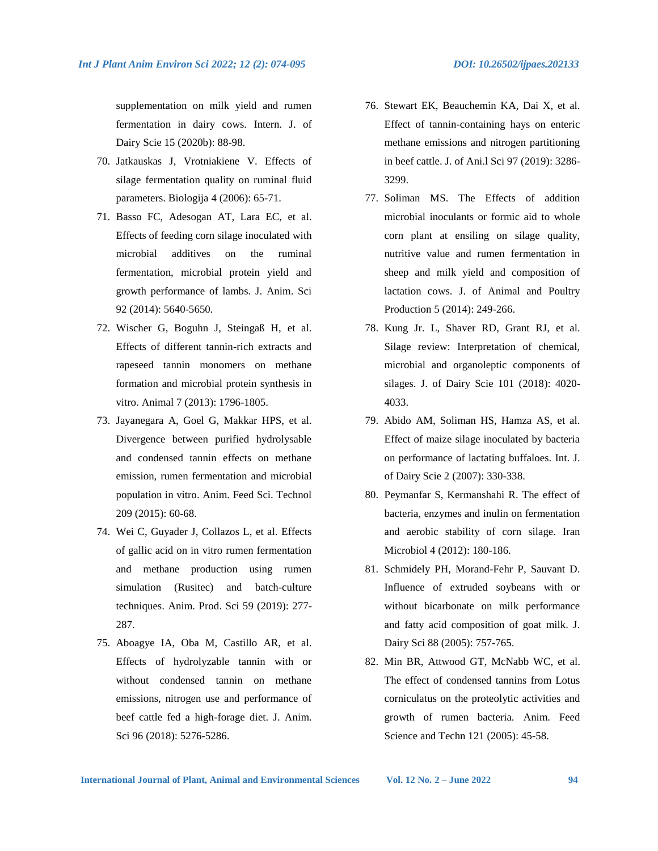supplementation on milk yield and rumen fermentation in dairy cows. Intern. J. of Dairy Scie 15 (2020b): 88-98.

- 70. Jatkauskas J, Vrotniakiene V. Effects of silage fermentation quality on ruminal fluid parameters. Biologija 4 (2006): 65-71.
- 71. Basso FC, Adesogan AT, Lara EC, et al. Effects of feeding corn silage inoculated with microbial additives on the ruminal fermentation, microbial protein yield and growth performance of lambs. J. Anim. Sci 92 (2014): 5640-5650.
- 72. Wischer G, Boguhn J, Steingaß H, et al. Effects of different tannin-rich extracts and rapeseed tannin monomers on methane formation and microbial protein synthesis in vitro. Animal 7 (2013): 1796-1805.
- 73. Jayanegara A, Goel G, Makkar HPS, et al. Divergence between purified hydrolysable and condensed tannin effects on methane emission, rumen fermentation and microbial population in vitro. Anim. Feed Sci. Technol 209 (2015): 60-68.
- 74. Wei C, Guyader J, Collazos L, et al. Effects of gallic acid on in vitro rumen fermentation and methane production using rumen simulation (Rusitec) and batch-culture techniques. Anim. Prod. Sci 59 (2019): 277- 287.
- 75. Aboagye IA, Oba M, Castillo AR, et al. Effects of hydrolyzable tannin with or without condensed tannin on methane emissions, nitrogen use and performance of beef cattle fed a high-forage diet. J. Anim. Sci 96 (2018): 5276-5286.
- 76. Stewart EK, Beauchemin KA, Dai X, et al. Effect of tannin-containing hays on enteric methane emissions and nitrogen partitioning in beef cattle. J. of Ani.l Sci 97 (2019): 3286- 3299.
- 77. Soliman MS. The Effects of addition microbial inoculants or formic aid to whole corn plant at ensiling on silage quality, nutritive value and rumen fermentation in sheep and milk yield and composition of lactation cows. J. of Animal and Poultry Production 5 (2014): 249-266.
- 78. Kung Jr. L, Shaver RD, Grant RJ, et al. Silage review: Interpretation of chemical, microbial and organoleptic components of silages. J. of Dairy Scie 101 (2018): 4020- 4033.
- 79. Abido AM, Soliman HS, Hamza AS, et al. Effect of maize silage inoculated by bacteria on performance of lactating buffaloes. Int. J. of Dairy Scie 2 (2007): 330-338.
- 80. Peymanfar S, Kermanshahi R. The effect of bacteria, enzymes and inulin on fermentation and aerobic stability of corn silage. Iran Microbiol 4 (2012): 180-186.
- 81. Schmidely PH, Morand-Fehr P, Sauvant D. Influence of extruded soybeans with or without bicarbonate on milk performance and fatty acid composition of goat milk. J. Dairy Sci 88 (2005): 757-765.
- 82. Min BR, Attwood GT, McNabb WC, et al. The effect of condensed tannins from Lotus corniculatus on the proteolytic activities and growth of rumen bacteria. Anim. Feed Science and Techn 121 (2005): 45-58.